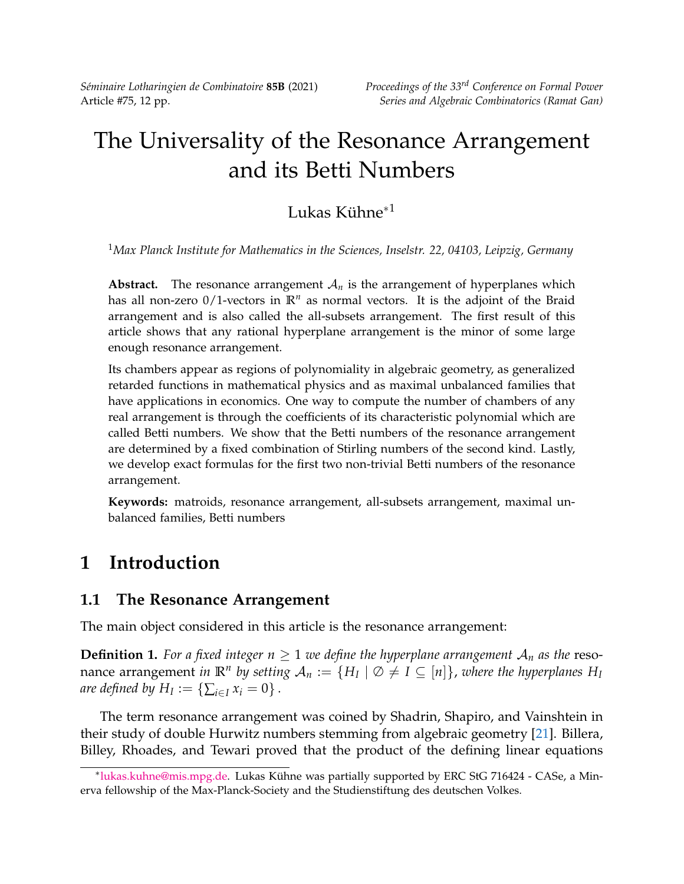*Séminaire Lotharingien de Combinatoire* **85B** (2021) *Proceedings of the 33rd Conference on Formal Power*

# The Universality of the Resonance Arrangement and its Betti Numbers

### Lukas Kühne<sup>∗</sup><sup>1</sup>

<sup>1</sup>*Max Planck Institute for Mathematics in the Sciences, Inselstr. 22, 04103, Leipzig, Germany*

**Abstract.** The resonance arrangement  $A_n$  is the arrangement of hyperplanes which has all non-zero  $0/1$ -vectors in  $\mathbb{R}^n$  as normal vectors. It is the adjoint of the Braid arrangement and is also called the all-subsets arrangement. The first result of this article shows that any rational hyperplane arrangement is the minor of some large enough resonance arrangement.

Its chambers appear as regions of polynomiality in algebraic geometry, as generalized retarded functions in mathematical physics and as maximal unbalanced families that have applications in economics. One way to compute the number of chambers of any real arrangement is through the coefficients of its characteristic polynomial which are called Betti numbers. We show that the Betti numbers of the resonance arrangement are determined by a fixed combination of Stirling numbers of the second kind. Lastly, we develop exact formulas for the first two non-trivial Betti numbers of the resonance arrangement.

**Keywords:** matroids, resonance arrangement, all-subsets arrangement, maximal unbalanced families, Betti numbers

# **1 Introduction**

#### **1.1 The Resonance Arrangement**

The main object considered in this article is the resonance arrangement:

**Definition 1.** For a fixed integer  $n \geq 1$  we define the hyperplane arrangement  $A_n$  as the resonance arrangement *in*  $\mathbb{R}^n$  by setting  $\mathcal{A}_n := \{H_I \mid \varnothing \neq I \subseteq [n]\}$ , where the hyperplanes  $H_I$ *are defined by*  $H_I := \{\sum_{i \in I} x_i = 0\}$ .

The term resonance arrangement was coined by Shadrin, Shapiro, and Vainshtein in their study of double Hurwitz numbers stemming from algebraic geometry [\[21\]](#page-11-0). Billera, Billey, Rhoades, and Tewari proved that the product of the defining linear equations

<sup>∗</sup> [lukas.kuhne@mis.mpg.de.](mailto:lukas.kuhne@mis.mpg.de) Lukas Kühne was partially supported by ERC StG 716424 - CASe, a Minerva fellowship of the Max-Planck-Society and the Studienstiftung des deutschen Volkes.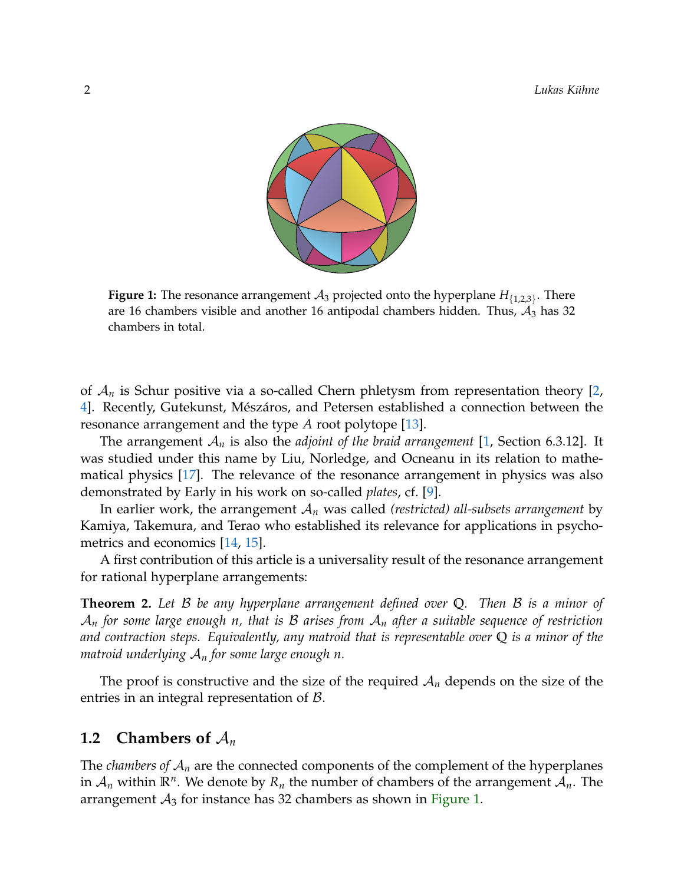<span id="page-1-0"></span>

**Figure 1:** The resonance arrangement  $A_3$  projected onto the hyperplane  $H_{\{1,2,3\}}$ . There are 16 chambers visible and another 16 antipodal chambers hidden. Thus,  $A_3$  has 32 chambers in total.

of A*<sup>n</sup>* is Schur positive via a so-called Chern phletysm from representation theory [\[2,](#page-10-0) [4\]](#page-10-1). Recently, Gutekunst, Mészáros, and Petersen established a connection between the resonance arrangement and the type *A* root polytope [\[13\]](#page-11-1).

The arrangement A*<sup>n</sup>* is also the *adjoint of the braid arrangement* [\[1,](#page-10-2) Section 6.3.12]. It was studied under this name by Liu, Norledge, and Ocneanu in its relation to mathematical physics [\[17\]](#page-11-2). The relevance of the resonance arrangement in physics was also demonstrated by Early in his work on so-called *plates*, cf. [\[9\]](#page-10-3).

In earlier work, the arrangement A*<sup>n</sup>* was called *(restricted) all-subsets arrangement* by Kamiya, Takemura, and Terao who established its relevance for applications in psychometrics and economics [\[14,](#page-11-3) [15\]](#page-11-4).

A first contribution of this article is a universality result of the resonance arrangement for rational hyperplane arrangements:

<span id="page-1-1"></span>**Theorem 2.** *Let* B *be any hyperplane arrangement defined over* **Q***. Then* B *is a minor of* A*<sup>n</sup> for some large enough n, that is* B *arises from* A*<sup>n</sup> after a suitable sequence of restriction and contraction steps. Equivalently, any matroid that is representable over* **Q** *is a minor of the matroid underlying* A*<sup>n</sup> for some large enough n.*

The proof is constructive and the size of the required  $A_n$  depends on the size of the entries in an integral representation of  $\beta$ .

#### **1.2 Chambers of** A*<sup>n</sup>*

The *chambers of* A*<sup>n</sup>* are the connected components of the complement of the hyperplanes in  $\mathcal{A}_n$  within  $\mathbb{R}^n$ . We denote by  $R_n$  the number of chambers of the arrangement  $\mathcal{A}_n$ . The arrangement  $A_3$  for instance has 32 chambers as shown in [Figure 1.](#page-1-0)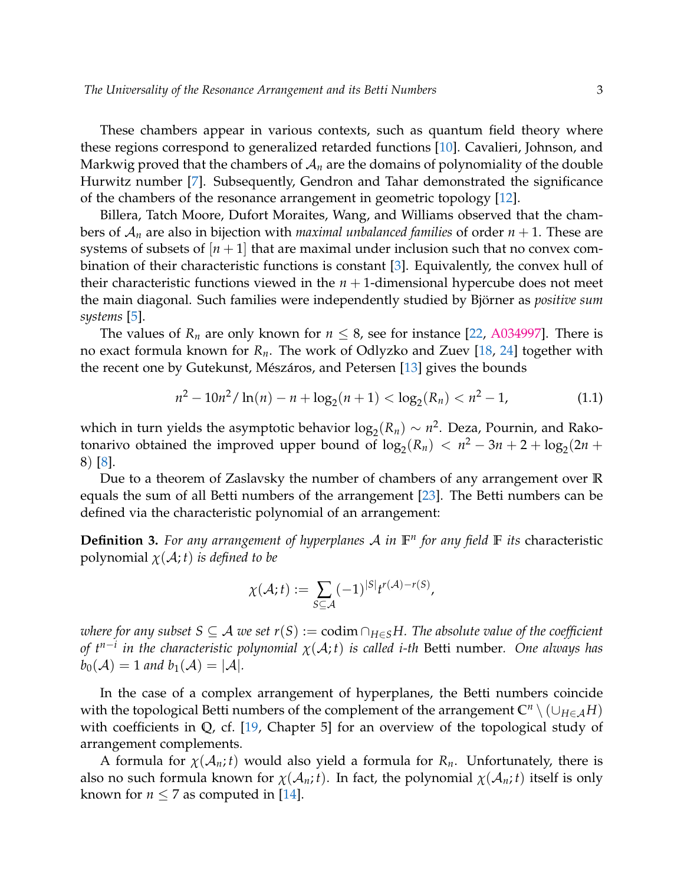These chambers appear in various contexts, such as quantum field theory where these regions correspond to generalized retarded functions [\[10\]](#page-10-4). Cavalieri, Johnson, and Markwig proved that the chambers of  $A_n$  are the domains of polynomiality of the double Hurwitz number [\[7\]](#page-10-5). Subsequently, Gendron and Tahar demonstrated the significance of the chambers of the resonance arrangement in geometric topology [\[12\]](#page-11-5).

Billera, Tatch Moore, Dufort Moraites, Wang, and Williams observed that the chambers of  $A_n$  are also in bijection with *maximal unbalanced families* of order  $n + 1$ . These are systems of subsets of  $[n+1]$  that are maximal under inclusion such that no convex combination of their characteristic functions is constant [\[3\]](#page-10-6). Equivalently, the convex hull of their characteristic functions viewed in the  $n + 1$ -dimensional hypercube does not meet the main diagonal. Such families were independently studied by Björner as *positive sum systems* [\[5\]](#page-10-7).

The values of  $R_n$  are only known for  $n \leq 8$ , see for instance [\[22,](#page-11-6) [A034997\]](https://oeis.org/A034997). There is no exact formula known for *Rn*. The work of Odlyzko and Zuev [\[18,](#page-11-7) [24\]](#page-11-8) together with the recent one by Gutekunst, Mészáros, and Petersen [\[13\]](#page-11-1) gives the bounds

$$
n^2 - 10n^2 / \ln(n) - n + \log_2(n+1) < \log_2(R_n) < n^2 - 1,
$$
 (1.1)

which in turn yields the asymptotic behavior  $log_2(R_n) \sim n^2$ . Deza, Pournin, and Rakotonarivo obtained the improved upper bound of  $\log_2(R_n) < n^2 - 3n + 2 + \log_2(2n +$ 8) [\[8\]](#page-10-8).

Due to a theorem of Zaslavsky the number of chambers of any arrangement over **R** equals the sum of all Betti numbers of the arrangement [\[23\]](#page-11-9). The Betti numbers can be defined via the characteristic polynomial of an arrangement:

**Definition 3.** *For any arrangement of hyperplanes* A *in* **F** *n for any field* **F** *its* characteristic polynomial  $\chi(A; t)$  *is defined to be* 

$$
\chi(\mathcal{A};t) := \sum_{S \subseteq \mathcal{A}} (-1)^{|S|} t^{r(\mathcal{A}) - r(S)},
$$

*where for any subset S* ⊆ *A we set r*(*S*) := codim  $\cap$ *H*∈*SH*. The absolute value of the coefficient *of tn*−*<sup>i</sup> in the characteristic polynomial χ*(A; *t*) *is called i-th* Betti number*. One always has*  $b_0(\mathcal{A}) = 1$  and  $b_1(\mathcal{A}) = |\mathcal{A}|$ .

In the case of a complex arrangement of hyperplanes, the Betti numbers coincide with the topological Betti numbers of the complement of the arrangement  $\mathbb{C}^n \setminus (\cup_{H \in \mathcal{A}} H)$ with coefficients in **Q**, cf. [\[19,](#page-11-10) Chapter 5] for an overview of the topological study of arrangement complements.

A formula for *χ*(A*n*; *t*) would also yield a formula for *Rn*. Unfortunately, there is also no such formula known for  $\chi(A_n; t)$ . In fact, the polynomial  $\chi(A_n; t)$  itself is only known for  $n \leq 7$  as computed in [\[14\]](#page-11-3).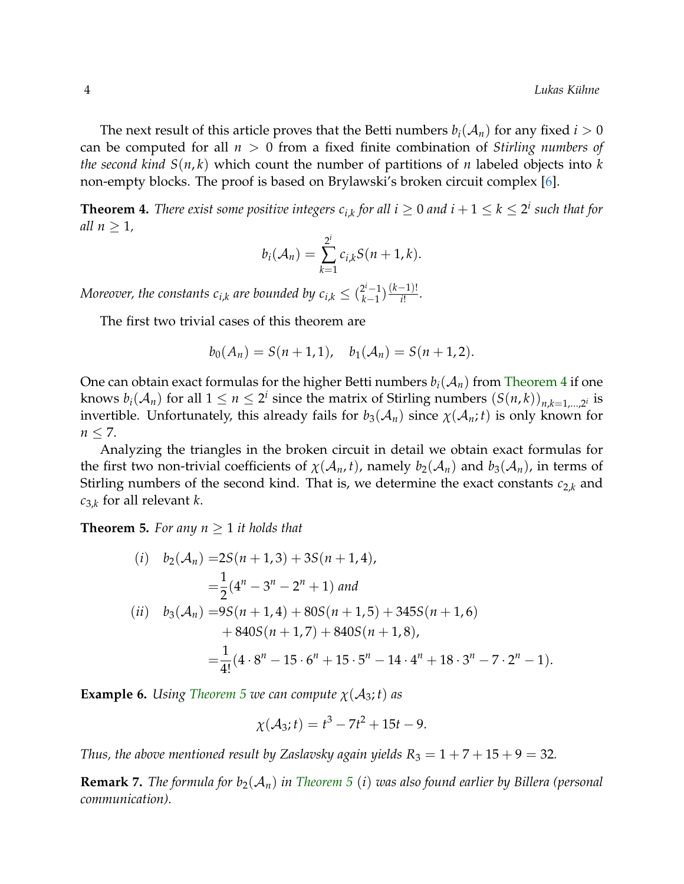The next result of this article proves that the Betti numbers  $b_i(A_n)$  for any fixed  $i > 0$ can be computed for all *n* > 0 from a fixed finite combination of *Stirling numbers of the second kind S*(*n*, *k*) which count the number of partitions of *n* labeled objects into *k* non-empty blocks. The proof is based on Brylawski's broken circuit complex [\[6\]](#page-10-9).

<span id="page-3-0"></span>**Theorem 4.** *There exist some positive integers*  $c_{i,k}$  *for all*  $i \geq 0$  *and*  $i+1 \leq k \leq 2^i$  *such that for all*  $n \geq 1$ *,* 

$$
b_i(\mathcal{A}_n)=\sum_{k=1}^{2^i}c_{i,k}S(n+1,k).
$$

*Moreover, the constants*  $c_{i,k}$  *are bounded by*  $c_{i,k} \leq (\frac{2^i-1}{k-1})$  $\frac{(k-1)!}{(k-1)!}$ *i*! *.*

The first two trivial cases of this theorem are

$$
b_0(A_n) = S(n+1,1), \quad b_1(A_n) = S(n+1,2).
$$

One can obtain exact formulas for the higher Betti numbers  $b_i(A_n)$  from [Theorem 4](#page-3-0) if one knows  $b_i(A_n)$  for all  $1 \leq n \leq 2^i$  since the matrix of Stirling numbers  $(S(n, k))_{n,k=1,...,2^i}$  is invertible. Unfortunately, this already fails for  $b_3(\mathcal{A}_n)$  since  $\chi(\mathcal{A}_n;t)$  is only known for  $n \leq 7$ .

Analyzing the triangles in the broken circuit in detail we obtain exact formulas for the first two non-trivial coefficients of  $\chi(A_n, t)$ , namely  $b_2(A_n)$  and  $b_3(A_n)$ , in terms of Stirling numbers of the second kind. That is, we determine the exact constants  $c_{2,k}$  and *c*3,*<sup>k</sup>* for all relevant *k*.

<span id="page-3-1"></span>**Theorem 5.** For any  $n > 1$  it holds that

(i) 
$$
b_2(A_n) = 2S(n + 1, 3) + 3S(n + 1, 4),
$$
  
\n
$$
= \frac{1}{2}(4^n - 3^n - 2^n + 1) \text{ and}
$$
\n(ii)  $b_3(A_n) = 9S(n + 1, 4) + 80S(n + 1, 5) + 345S(n + 1, 6) + 840S(n + 1, 7) + 840S(n + 1, 8),$   
\n
$$
= \frac{1}{4!}(4 \cdot 8^n - 15 \cdot 6^n + 15 \cdot 5^n - 14 \cdot 4^n + 18 \cdot 3^n - 7 \cdot 2^n - 1).
$$

**Example 6.** *Using [Theorem 5](#page-3-1) we can compute*  $\chi(A_3; t)$  *as* 

$$
\chi(\mathcal{A}_3;t) = t^3 - 7t^2 + 15t - 9.
$$

*Thus, the above mentioned result by Zaslavsky again yields*  $R_3 = 1 + 7 + 15 + 9 = 32$ .

**Remark 7.** *The formula for b*<sub>2</sub>( $\mathcal{A}_n$ ) *in [Theorem 5](#page-3-1)* (*i*) *was also found earlier by Billera (personal communication).*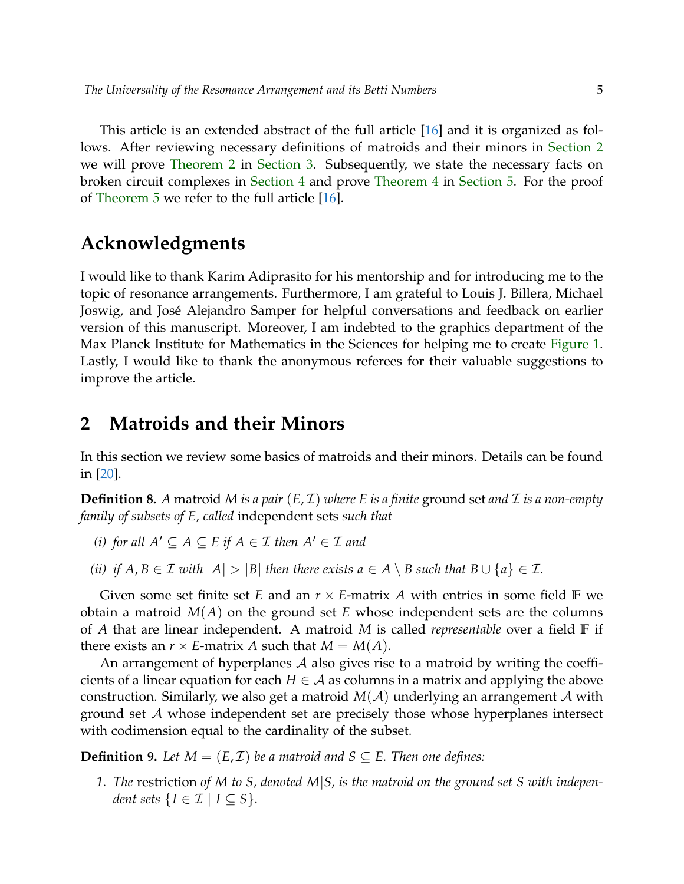This article is an extended abstract of the full article [\[16\]](#page-11-11) and it is organized as follows. After reviewing necessary definitions of matroids and their minors in [Section 2](#page-4-0) we will prove [Theorem 2](#page-1-1) in [Section 3.](#page-5-0) Subsequently, we state the necessary facts on broken circuit complexes in [Section 4](#page-7-0) and prove [Theorem 4](#page-3-0) in [Section 5.](#page-7-1) For the proof of [Theorem 5](#page-3-1) we refer to the full article [\[16\]](#page-11-11).

### **Acknowledgments**

I would like to thank Karim Adiprasito for his mentorship and for introducing me to the topic of resonance arrangements. Furthermore, I am grateful to Louis J. Billera, Michael Joswig, and José Alejandro Samper for helpful conversations and feedback on earlier version of this manuscript. Moreover, I am indebted to the graphics department of the Max Planck Institute for Mathematics in the Sciences for helping me to create [Figure 1.](#page-1-0) Lastly, I would like to thank the anonymous referees for their valuable suggestions to improve the article.

#### <span id="page-4-0"></span>**2 Matroids and their Minors**

In this section we review some basics of matroids and their minors. Details can be found in [\[20\]](#page-11-12).

**Definition 8.** A matroid M is a pair  $(E, \mathcal{I})$  where E is a finite ground set and  $\mathcal{I}$  is a non-empty *family of subsets of E, called* independent sets *such that*

- *(i) for all*  $A' \subseteq A \subseteq E$  *if*  $A \in \mathcal{I}$  *then*  $A' \in \mathcal{I}$  *and*
- *(ii) if*  $A, B \in \mathcal{I}$  *with*  $|A| > |B|$  *then there exists*  $a \in A \setminus B$  *such that*  $B \cup \{a\} \in \mathcal{I}$ *.*

Given some set finite set *E* and an  $r \times E$ -matrix *A* with entries in some field **F** we obtain a matroid *M*(*A*) on the ground set *E* whose independent sets are the columns of *A* that are linear independent. A matroid *M* is called *representable* over a field **F** if there exists an  $r \times E$ -matrix *A* such that  $M = M(A)$ .

An arrangement of hyperplanes  $\mathcal A$  also gives rise to a matroid by writing the coefficients of a linear equation for each  $H \in \mathcal{A}$  as columns in a matrix and applying the above construction. Similarly, we also get a matroid  $M(A)$  underlying an arrangement A with ground set A whose independent set are precisely those whose hyperplanes intersect with codimension equal to the cardinality of the subset.

**Definition 9.** Let  $M = (E, \mathcal{I})$  be a matroid and  $S \subseteq E$ . Then one defines:

*1. The* restriction *of M to S, denoted M*|*S, is the matroid on the ground set S with independent sets*  $\{I \in \mathcal{I} \mid I \subseteq S\}$ *.*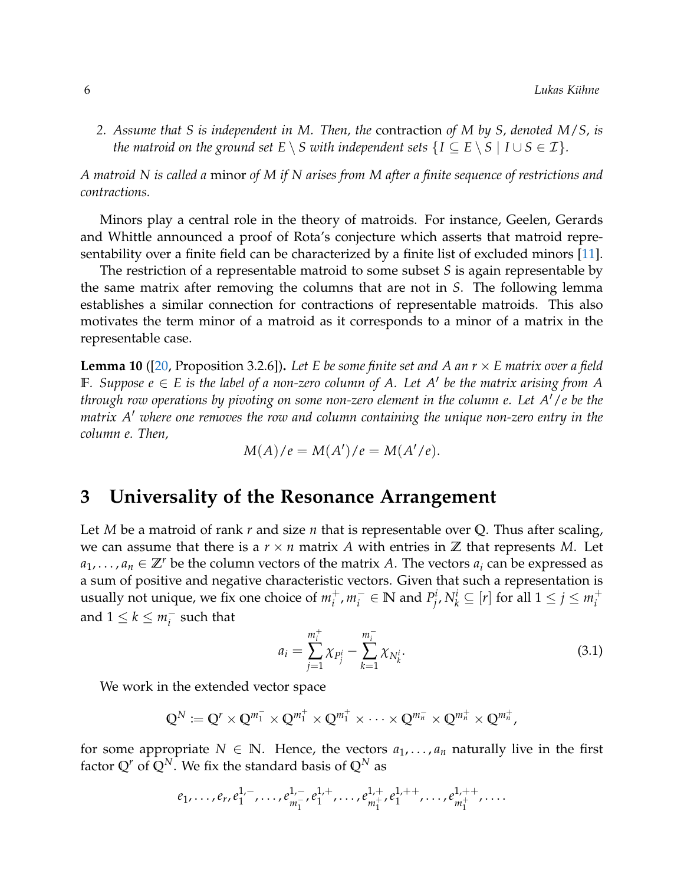*2. Assume that S is independent in M. Then, the* contraction *of M by S, denoted M*/*S, is the matroid on the ground set*  $E \setminus S$  *with independent sets*  $\{I \subseteq E \setminus S \mid I \cup S \in \mathcal{I}\}$ *.* 

*A matroid N is called a* minor *of M if N arises from M after a finite sequence of restrictions and contractions.*

Minors play a central role in the theory of matroids. For instance, Geelen, Gerards and Whittle announced a proof of Rota's conjecture which asserts that matroid representability over a finite field can be characterized by a finite list of excluded minors [\[11\]](#page-10-10).

The restriction of a representable matroid to some subset *S* is again representable by the same matrix after removing the columns that are not in *S*. The following lemma establishes a similar connection for contractions of representable matroids. This also motivates the term minor of a matroid as it corresponds to a minor of a matrix in the representable case.

<span id="page-5-2"></span>**Lemma 10** ([\[20,](#page-11-12) Proposition 3.2.6])**.** *Let E be some finite set and A an r* × *E matrix over a field*  $\mathbb{F}$ *. Suppose*  $e \in E$  *is the label of a non-zero column of A. Let A' be the matrix arising from A through row operations by pivoting on some non-zero element in the column e. Let A'/e be the matrix A' where one removes the row and column containing the unique non-zero entry in the column e. Then,*

$$
M(A)/e = M(A')/e = M(A'/e).
$$

#### <span id="page-5-0"></span>**3 Universality of the Resonance Arrangement**

Let *M* be a matroid of rank *r* and size *n* that is representable over **Q**. Thus after scaling, we can assume that there is a  $r \times n$  matrix A with entries in  $\mathbb Z$  that represents M. Let  $a_1, \ldots, a_n \in \mathbb{Z}^r$  be the column vectors of the matrix *A*. The vectors  $a_i$  can be expressed as a sum of positive and negative characteristic vectors. Given that such a representation is usually not unique, we fix one choice of *m* +  $i^+$ ,  $m_i^ P_i^-$  ∈ **N** and  $P_j^i$  $j^i$ ,  $N^i_k \subseteq [r]$  for all  $1 \le j \le m^+_i$ *i* and  $1 \leq k \leq m_i^$  $i<sub>i</sub>$  such that

<span id="page-5-1"></span>
$$
a_i = \sum_{j=1}^{m_i^+} \chi_{P_j^i} - \sum_{k=1}^{m_i^-} \chi_{N_k^i}.
$$
\n(3.1)

We work in the extended vector space

$$
\mathbb{Q}^N := \mathbb{Q}^r \times \mathbb{Q}^{m_1^-} \times \mathbb{Q}^{m_1^+} \times \mathbb{Q}^{m_1^+} \times \cdots \times \mathbb{Q}^{m_n^-} \times \mathbb{Q}^{m_n^+} \times \mathbb{Q}^{m_n^+},
$$

for some appropriate  $N \in \mathbb{N}$ . Hence, the vectors  $a_1, \ldots, a_n$  naturally live in the first factor  $Q^r$  of  $\overline{Q}^N$ . We fix the standard basis of  $Q^N$  as

$$
e_1, \ldots, e_r, e_1^{1,-}, \ldots, e_{m_1^-}^{1,-}, e_1^{1,+}, \ldots, e_{m_1^+}^{1,+}, e_1^{1,++}, \ldots, e_{m_1^+}^{1,++}, \ldots
$$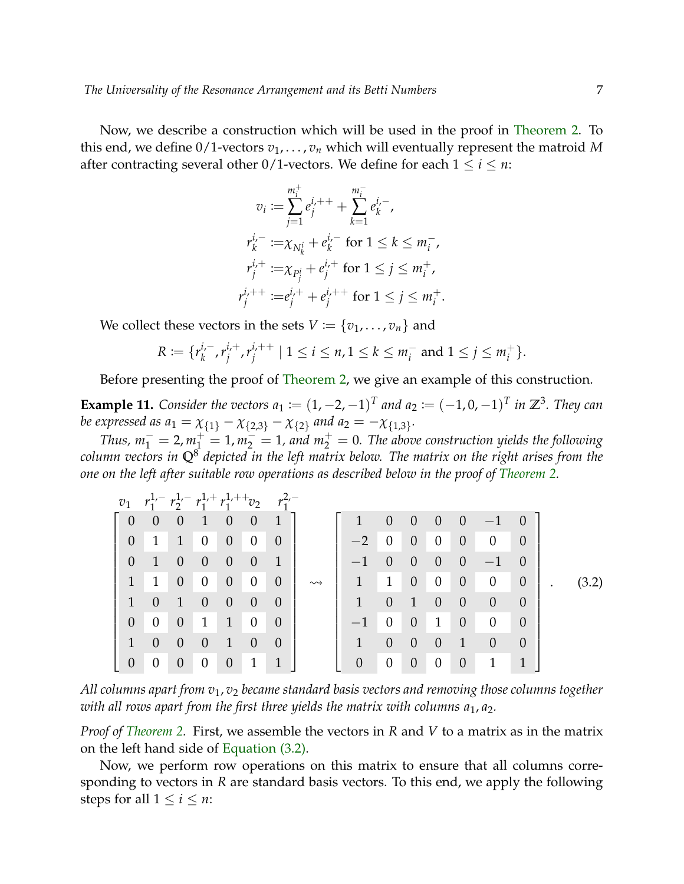Now, we describe a construction which will be used in the proof in [Theorem 2.](#page-1-1) To this end, we define  $0/1$ -vectors  $v_1, \ldots, v_n$  which will eventually represent the matroid M after contracting several other  $0/1$ -vectors. We define for each  $1 \le i \le n$ :

$$
v_i := \sum_{j=1}^{m_i^+} e_j^{i, +} + \sum_{k=1}^{m_i^-} e_k^{i, -},
$$
  
\n
$$
r_k^{i, -} := \chi_{N_k^i} + e_k^{i, -} \text{ for } 1 \le k \le m_i^-,
$$
  
\n
$$
r_j^{i, +} := \chi_{P_j^i} + e_j^{i, +} \text{ for } 1 \le j \le m_i^+,
$$
  
\n
$$
r_j^{i, +} := e_j^{i, +} + e_j^{i, +} \text{ for } 1 \le j \le m_i^+.
$$

We collect these vectors in the sets  $V := \{v_1, \ldots, v_n\}$  and

<span id="page-6-0"></span>
$$
R := \{r_k^{i,-}, r_j^{i,+}, r_j^{i,++} \mid 1 \le i \le n, 1 \le k \le m_i^- \text{ and } 1 \le j \le m_i^+\}.
$$

Before presenting the proof of [Theorem 2,](#page-1-1) we give an example of this construction.

**Example 11.** *Consider the vectors*  $a_1 := (1, -2, -1)^T$  and  $a_2 := (-1, 0, -1)^T$  in  $\mathbb{Z}^3$ . They can *be expressed as*  $a_1 = \chi_{\{1\}} - \chi_{\{2,3\}} - \chi_{\{2\}}$  *and*  $a_2 = -\chi_{\{1,3\}}$ *.* 

*Thus,*  $m_1^- = 2$ ,  $m_1^+ = 1$ ,  $m_2^- = 1$ , and  $m_2^+ = 0$ . The above construction yields the following *column vectors in* **Q**<sup>8</sup> *depicted in the left matrix below. The matrix on the right arises from the one on the left after suitable row operations as described below in the proof of [Theorem 2.](#page-1-1)*

| $v_1$                    | $r_1^{1,-} r_2^{1,-} r_1^{1,+} r_1^{1,++} v_2$ |                |                  |                 |                  |                |                    |              |                  |                |                |                |                |                |         |       |
|--------------------------|------------------------------------------------|----------------|------------------|-----------------|------------------|----------------|--------------------|--------------|------------------|----------------|----------------|----------------|----------------|----------------|---------|-------|
| $\overline{\phantom{0}}$ | $\overline{0}$                                 | $\overline{0}$ | $\leq 1$         | $\overline{0}$  | $\overline{0}$   | $\mathbb{Z}$   |                    | $\mathbf{1}$ | $\theta$         | $\overline{0}$ | $\overline{0}$ | $\overline{0}$ | $-1$ 0         |                |         |       |
| $\theta$                 | 1                                              | 1              | $\overline{0}$   | $\overline{0}$  | $\overline{0}$   | $\overline{0}$ |                    | $-2$         | $\overline{0}$   | $\overline{0}$ | $\overline{0}$ | $\overline{0}$ | $\overline{0}$ | $\theta$       |         |       |
| $\theta$                 | $\overline{1}$                                 | $\theta$       | $\theta$         | $\overline{0}$  | $\overline{0}$   | 1              |                    | $-1$         | $\theta$         | $\theta$       | $\theta$       | $\Omega$       | $-1$           | $\overline{0}$ |         |       |
| $\mathbf{1}$             | $-1$                                           | $\overline{0}$ | $\overline{0}$   | $\overline{0}$  | $\overline{0}$   | $\theta$       | $\rightsquigarrow$ |              | $1 \quad 1$      | $\overline{0}$ | $\overline{0}$ | $\overline{0}$ | $\overline{0}$ | $\overline{0}$ | $\cdot$ | (3.2) |
|                          | $\overline{0}$                                 | $\mathbf{1}$   | $\theta$         | $\overline{0}$  | $\theta$         | $\theta$       |                    | $\mathbf{1}$ | $\theta$         | $\mathbf{1}$   | $\theta$       | $\theta$       | $\theta$       | $\theta$       |         |       |
| $\theta$                 | $\overline{0}$                                 | $\theta$       | $\mathbf{1}$     | $\mathcal{I}$   | $\boldsymbol{0}$ | $\overline{0}$ |                    | $-1$         | $\overline{0}$   | $\overline{0}$ | $\mathbf{1}$   | $\theta$       | $\theta$       | $\theta$       |         |       |
|                          | $\overline{0}$                                 | $\theta$       | $\theta$         | $\triangleleft$ | $\theta$         | $\theta$       |                    | $\mathbf{1}$ | $\theta$         | $\theta$       | $\theta$       | 1              | $\theta$       | $\theta$       |         |       |
| $\theta$                 | $\overline{0}$                                 | $\theta$       | $\boldsymbol{0}$ | $\overline{0}$  | $\mathbf{1}$     | $\mathbf{1}$   |                    | $\theta$     | $\boldsymbol{0}$ | $\overline{0}$ | $\theta$       | $\overline{0}$ | 1              | 1              |         |       |

*All columns apart from v*1, *v*<sup>2</sup> *became standard basis vectors and removing those columns together with all rows apart from the first three yields the matrix with columns*  $a_1$ *,*  $a_2$ *.* 

*Proof of [Theorem 2.](#page-1-1)* First, we assemble the vectors in *R* and *V* to a matrix as in the matrix on the left hand side of [Equation \(3.2\).](#page-6-0)

Now, we perform row operations on this matrix to ensure that all columns corresponding to vectors in *R* are standard basis vectors. To this end, we apply the following steps for all  $1 \le i \le n$ :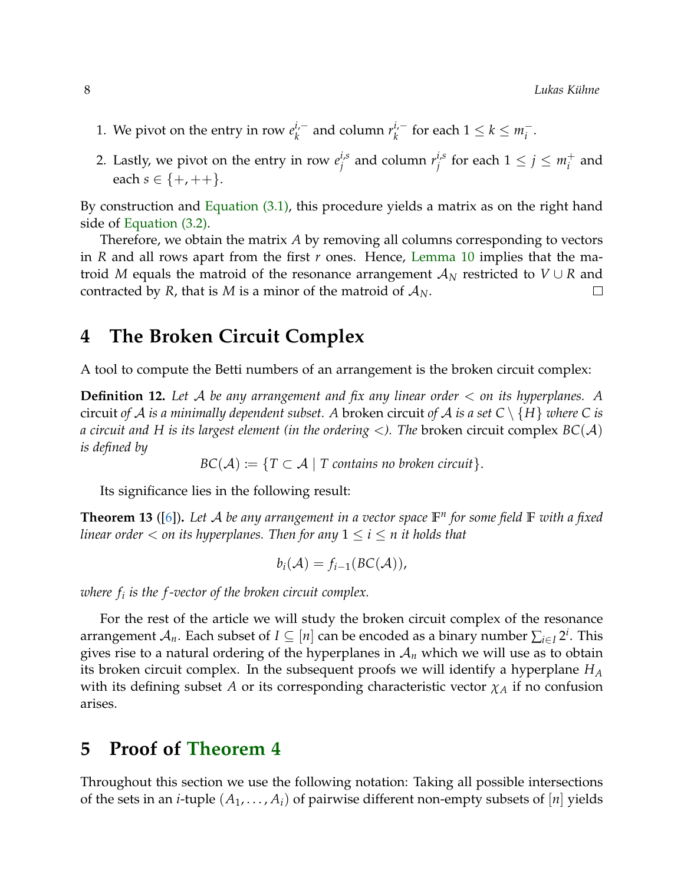- 1. We pivot on the entry in row  $e_k^{i,-}$  $k$ <sup>*i*,−</sup> and column  $r_k$ <sup>*i*,−</sup>  $\frac{i}{k}$  for each 1 ≤  $k$  ≤  $m_i^$ *i* .
- 2. Lastly, we pivot on the entry in row  $e_i^{i,s}$  $j^{i,s}$  and column  $r^{i,s}_j$  $j_j^{i,s}$  for each  $1 \leq j \leq m_i^+$  $i<sup>+</sup>$  and each  $s \in \{+, ++\}.$

By construction and [Equation \(3.1\),](#page-5-1) this procedure yields a matrix as on the right hand side of [Equation \(3.2\).](#page-6-0)

Therefore, we obtain the matrix *A* by removing all columns corresponding to vectors in *R* and all rows apart from the first *r* ones. Hence, [Lemma 10](#page-5-2) implies that the matroid *M* equals the matroid of the resonance arrangement  $A_N$  restricted to  $V \cup R$  and contracted by *R*, that is *M* is a minor of the matroid of  $A_N$ .  $\Box$ 

## <span id="page-7-0"></span>**4 The Broken Circuit Complex**

A tool to compute the Betti numbers of an arrangement is the broken circuit complex:

**Definition 12.** *Let* A *be any arrangement and fix any linear order* < *on its hyperplanes. A* circuit *of* A *is a minimally dependent subset.* A broken circuit *of* A *is a set*  $C \setminus \{H\}$  *where* C *is a circuit and H is its largest element (in the ordering* <*). The* broken circuit complex *BC*(A) *is defined by*

 $BC(A) := \{T \subset A \mid T \text{ contains no broken circuit}\}.$ 

Its significance lies in the following result:

<span id="page-7-2"></span>**Theorem 13** ([\[6\]](#page-10-9))**.** *Let* A *be any arrangement in a vector space* **F** *n for some field* **F** *with a fixed linear order*  $\lt$  *on its hyperplanes. Then for any*  $1 \le i \le n$  *it holds that* 

$$
b_i(\mathcal{A}) = f_{i-1}(BC(\mathcal{A})),
$$

*where f<sup>i</sup> is the f -vector of the broken circuit complex.*

For the rest of the article we will study the broken circuit complex of the resonance arrangement  $\mathcal{A}_n.$  Each subset of  $I \subseteq [n]$  can be encoded as a binary number  $\sum_{i \in I} 2^i.$  This gives rise to a natural ordering of the hyperplanes in  $A_n$  which we will use as to obtain its broken circuit complex. In the subsequent proofs we will identify a hyperplane *H<sup>A</sup>* with its defining subset *A* or its corresponding characteristic vector  $\chi_A$  if no confusion arises.

#### <span id="page-7-1"></span>**5 Proof of [Theorem 4](#page-3-0)**

Throughout this section we use the following notation: Taking all possible intersections of the sets in an *i*-tuple  $(A_1, \ldots, A_i)$  of pairwise different non-empty subsets of  $[n]$  yields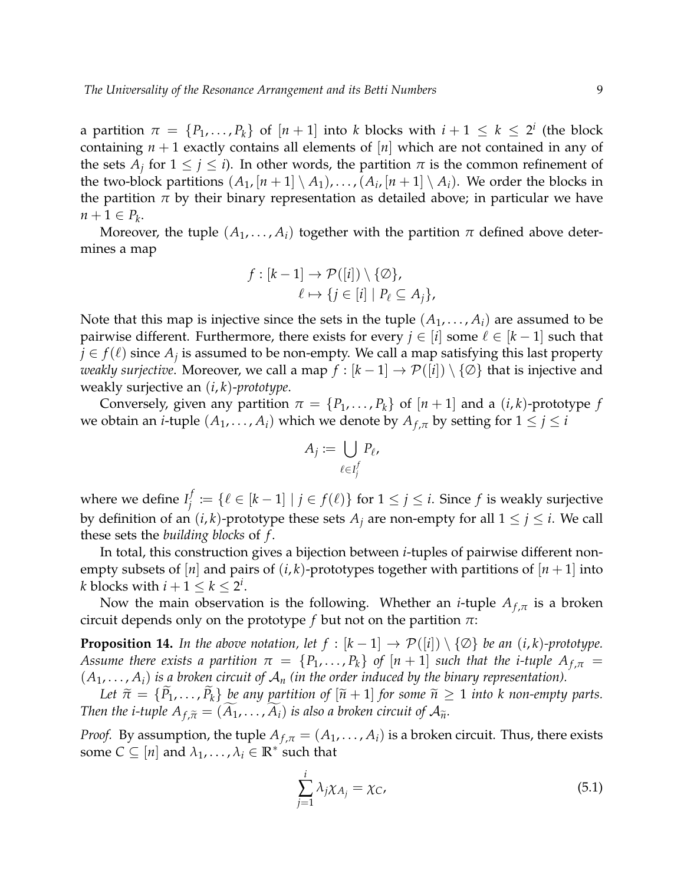a partition  $\pi = \{P_1, \ldots, P_k\}$  of  $[n+1]$  into *k* blocks with  $i+1 \leq k \leq 2^i$  (the block containing  $n + 1$  exactly contains all elements of  $[n]$  which are not contained in any of the sets  $A_j$  for  $1 \leq j \leq i$ ). In other words, the partition  $\pi$  is the common refinement of the two-block partitions  $(A_1, [n+1] \setminus A_1), \ldots, (A_i, [n+1] \setminus A_i)$ . We order the blocks in the partition  $\pi$  by their binary representation as detailed above; in particular we have  $n+1 \in P_k$ .

Moreover, the tuple  $(A_1, \ldots, A_i)$  together with the partition  $\pi$  defined above determines a map

$$
f : [k-1] \to \mathcal{P}([i]) \setminus \{ \emptyset \},
$$

$$
\ell \mapsto \{ j \in [i] \mid P_{\ell} \subseteq A_j \},
$$

Note that this map is injective since the sets in the tuple  $(A_1, \ldots, A_i)$  are assumed to be pairwise different. Furthermore, there exists for every  $j \in [i]$  some  $\ell \in [k-1]$  such that  $j \in f(\ell)$  since  $A_j$  is assumed to be non-empty. We call a map satisfying this last property *weakly surjective*. Moreover, we call a map  $f : [k-1] \to \mathcal{P}([i]) \setminus \{\emptyset\}$  that is injective and weakly surjective an (*i*, *k*)-*prototype*.

Conversely, given any partition  $\pi = \{P_1, \ldots, P_k\}$  of  $[n+1]$  and a  $(i, k)$ -prototype  $f$ we obtain an *i*-tuple  $(A_1, \ldots, A_i)$  which we denote by  $A_{f,\pi}$  by setting for  $1 \leq j \leq i$ 

$$
A_j := \bigcup_{\ell \in I_j^f} P_\ell,
$$

where we define  $I_i^f$ *j* := { $\ell \in [k-1] \mid j \in f(\ell)$ } for  $1 \leq j \leq i$ . Since  $f$  is weakly surjective by definition of an  $(i, k)$ -prototype these sets  $A_i$  are non-empty for all  $1 \leq j \leq i$ . We call these sets the *building blocks* of *f* .

In total, this construction gives a bijection between *i*-tuples of pairwise different nonempty subsets of  $[n]$  and pairs of  $(i, k)$ -prototypes together with partitions of  $[n + 1]$  into *k* blocks with  $i+1 \leq k \leq 2^i$ .

Now the main observation is the following. Whether an *i*-tuple  $A_{f,\pi}$  is a broken circuit depends only on the prototype  $f$  but not on the partition  $\pi$ :

<span id="page-8-1"></span>**Proposition 14.** In the above notation, let  $f : [k-1] \rightarrow \mathcal{P}([i]) \setminus \{ \emptyset \}$  be an  $(i,k)$ -prototype. *Assume there exists a partition*  $\pi = \{P_1, \ldots, P_k\}$  *of*  $[n + 1]$  *such that the i-tuple*  $A_{f,\pi}$  =  $(A_1, \ldots, A_i)$  *is a broken circuit of*  $A_n$  *(in the order induced by the binary representation).* 

*Let*  $\tilde{\pi} = \{P_1, \ldots, P_k\}$  *be any partition of*  $[\tilde{n} + 1]$  *for some*  $\tilde{n} \ge 1$  *into k non-empty parts. Then the i-tuple*  $A_{f,\tilde{\pi}} = (A_1, \ldots, A_i)$  *is also a broken circuit of*  $A_{\tilde{n}}$ *.* 

*Proof.* By assumption, the tuple  $A_{f,\pi} = (A_1, \ldots, A_i)$  is a broken circuit. Thus, there exists some  $C \subseteq [n]$  and  $\lambda_1, \ldots, \lambda_i \in \mathbb{R}^*$  such that

<span id="page-8-0"></span>
$$
\sum_{j=1}^{i} \lambda_j \chi_{A_j} = \chi_C,
$$
\n(5.1)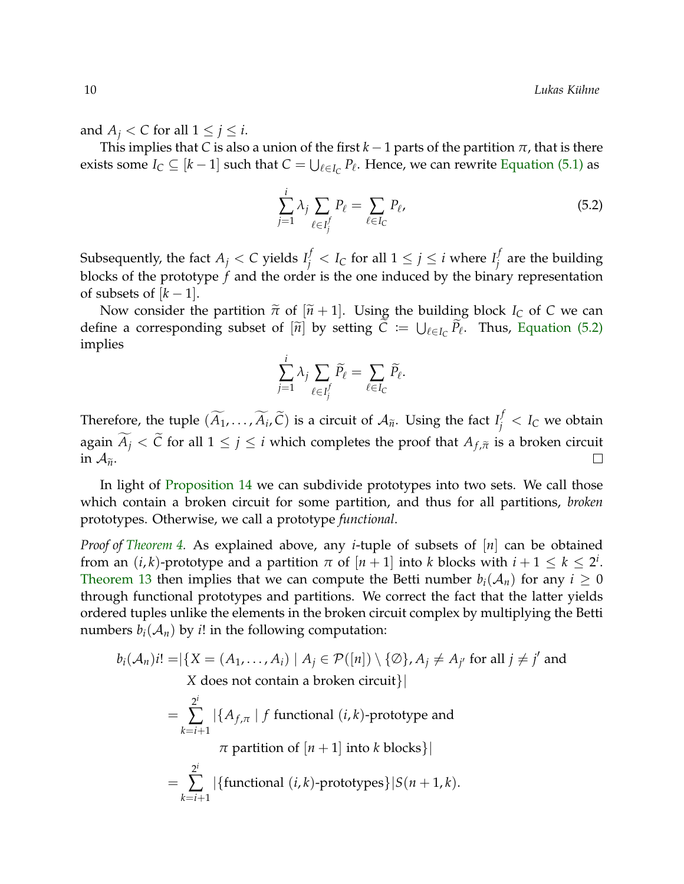and  $A_j < C$  for all  $1 \leq j \leq i$ .

This implies that *C* is also a union of the first  $k-1$  parts of the partition  $\pi$ , that is there exists some  $I_C \subseteq [k-1]$  such that  $C = \bigcup_{\ell \in I_C} P_{\ell}$ . Hence, we can rewrite [Equation \(5.1\)](#page-8-0) as

<span id="page-9-0"></span>
$$
\sum_{j=1}^{i} \lambda_j \sum_{\ell \in I_j^f} P_{\ell} = \sum_{\ell \in I_C} P_{\ell},
$$
\n(5.2)

Subsequently, the fact  $A_j < C$  yields  $I_j^f < I_C$  for all  $1 \leq j \leq i$  where  $I_j^f$ *j* are the building blocks of the prototype *f* and the order is the one induced by the binary representation of subsets of  $[k-1]$ .

Now consider the partition  $\tilde{\pi}$  of  $[\tilde{n} + 1]$ . Using the building block *I<sub>C</sub>* of *C* we can define a corresponding subset of  $[\widetilde{n}]$  by setting  $C := \bigcup_{\ell \in I_C} \overline{P}_\ell$ . Thus, [Equation \(5.2\)](#page-9-0) implies

$$
\sum_{j=1}^i \lambda_j \sum_{\ell \in I_j^f} \widetilde{P}_\ell = \sum_{\ell \in I_C} \widetilde{P}_\ell.
$$

Therefore, the tuple  $(\widetilde{A}_1, \ldots, \widetilde{A}_i, \widetilde{C})$  is a circuit of  $\mathcal{A}_{\widetilde{n}}$ . Using the fact  $I_j^f < I_C$  we obtain again  $\widetilde{A}_j < \widetilde{C}$  for all  $1 \le j \le i$  which completes the proof that  $A_{f,\widetilde{\pi}}$  is a broken circuit in  $\mathcal{A}_{\widetilde{\pi}}$ . in  $A_{\tilde{n}}$ .

In light of [Proposition 14](#page-8-1) we can subdivide prototypes into two sets. We call those which contain a broken circuit for some partition, and thus for all partitions, *broken* prototypes. Otherwise, we call a prototype *functional*.

*Proof of [Theorem 4.](#page-3-0)* As explained above, any *i*-tuple of subsets of [*n*] can be obtained from an  $(i, k)$ -prototype and a partition  $\pi$  of  $[n+1]$  into  $k$  blocks with  $i+1 \leq k \leq 2^i$ . [Theorem 13](#page-7-2) then implies that we can compute the Betti number  $b_i(A_n)$  for any  $i \geq 0$ through functional prototypes and partitions. We correct the fact that the latter yields ordered tuples unlike the elements in the broken circuit complex by multiplying the Betti numbers  $b_i(A_n)$  by *i*! in the following computation:

$$
b_i(\mathcal{A}_n)i! = |\{X = (A_1, ..., A_i) \mid A_j \in \mathcal{P}([n]) \setminus \{\emptyset\}, A_j \neq A_{j'} \text{ for all } j \neq j' \text{ and } X \text{ does not contain a broken circuit}\}|
$$
  
= 
$$
\sum_{k=i+1}^{2^i} |\{A_{f,\pi} \mid f \text{ functional } (i,k)\text{-prototype and } \pi \text{ partition of } [n+1] \text{ into } k \text{ blocks}\}|
$$
  
= 
$$
\sum_{k=i+1}^{2^i} |\{\text{functional } (i,k)\text{-prototypes}\}|S(n+1,k).
$$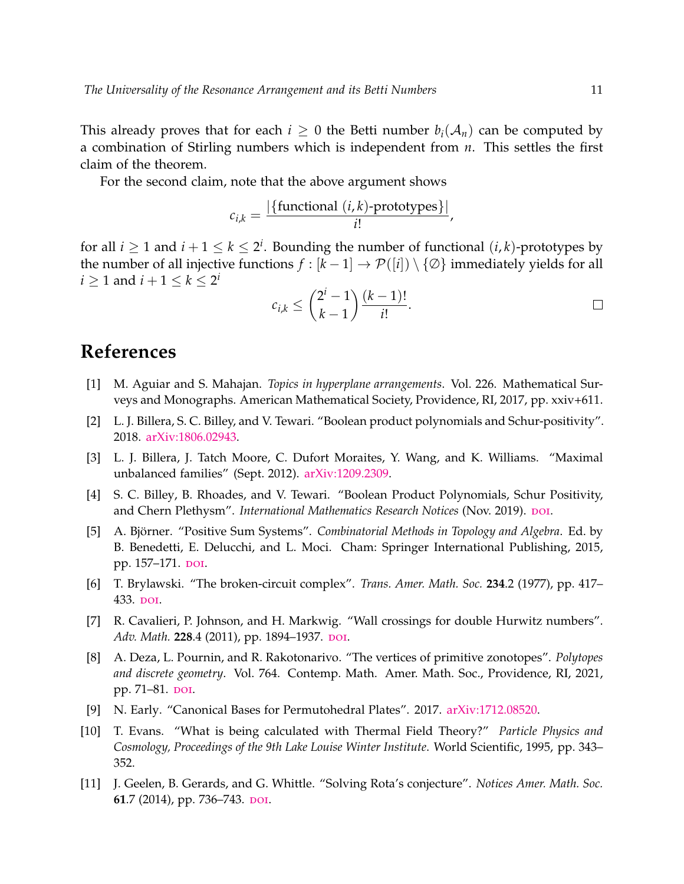This already proves that for each  $i \geq 0$  the Betti number  $b_i(\mathcal{A}_n)$  can be computed by a combination of Stirling numbers which is independent from *n*. This settles the first claim of the theorem.

For the second claim, note that the above argument shows

$$
c_{i,k} = \frac{|\{\text{functional } (i,k)\text{-prototypes}\}|}{i!},
$$

for all  $i \geq 1$  and  $i + 1 \leq k \leq 2^i$ . Bounding the number of functional  $(i, k)$ -prototypes by the number of all injective functions  $f : [k-1] \to \mathcal{P}([i]) \setminus \{\emptyset\}$  immediately yields for all  $i \geq 1$  and  $i + 1 \leq k \leq 2^i$ 

$$
c_{i,k} \leq {2^i - 1 \choose k-1} \frac{(k-1)!}{i!}.
$$

### **References**

- <span id="page-10-2"></span>[1] M. Aguiar and S. Mahajan. *Topics in hyperplane arrangements*. Vol. 226. Mathematical Surveys and Monographs. American Mathematical Society, Providence, RI, 2017, pp. xxiv+611.
- <span id="page-10-0"></span>[2] L. J. Billera, S. C. Billey, and V. Tewari. "Boolean product polynomials and Schur-positivity". 2018. [arXiv:1806.02943.](https://arxiv.org/abs/1806.02943)
- <span id="page-10-6"></span>[3] L. J. Billera, J. Tatch Moore, C. Dufort Moraites, Y. Wang, and K. Williams. "Maximal unbalanced families" (Sept. 2012). [arXiv:1209.2309.](https://arxiv.org/abs/1209.2309)
- <span id="page-10-1"></span>[4] S. C. Billey, B. Rhoades, and V. Tewari. "Boolean Product Polynomials, Schur Positivity, and Chern Plethysm". *International Mathematics Research Notices* (Nov. 2019). DOI.
- <span id="page-10-7"></span>[5] A. Björner. "Positive Sum Systems". *Combinatorial Methods in Topology and Algebra*. Ed. by B. Benedetti, E. Delucchi, and L. Moci. Cham: Springer International Publishing, 2015, pp. 157–171. [doi](https://dx.doi.org/10.1007/978-3-319-20155-9_27).
- <span id="page-10-9"></span>[6] T. Brylawski. "The broken-circuit complex". *Trans. Amer. Math. Soc.* **234**.2 (1977), pp. 417– 433. [doi](https://dx.doi.org/10.2307/1997928).
- <span id="page-10-5"></span>[7] R. Cavalieri, P. Johnson, and H. Markwig. "Wall crossings for double Hurwitz numbers". Adv. Math. 228.4 (2011), pp. 1894-1937. DOI.
- <span id="page-10-8"></span>[8] A. Deza, L. Pournin, and R. Rakotonarivo. "The vertices of primitive zonotopes". *Polytopes and discrete geometry*. Vol. 764. Contemp. Math. Amer. Math. Soc., Providence, RI, 2021, pp. 71–81. pol.
- <span id="page-10-3"></span>[9] N. Early. "Canonical Bases for Permutohedral Plates". 2017. [arXiv:1712.08520.](https://arxiv.org/abs/1712.08520)
- <span id="page-10-4"></span>[10] T. Evans. "What is being calculated with Thermal Field Theory?" *Particle Physics and Cosmology, Proceedings of the 9th Lake Louise Winter Institute*. World Scientific, 1995, pp. 343– 352.
- <span id="page-10-10"></span>[11] J. Geelen, B. Gerards, and G. Whittle. "Solving Rota's conjecture". *Notices Amer. Math. Soc.* **61.7** (2014), pp. 736–743. DOI.